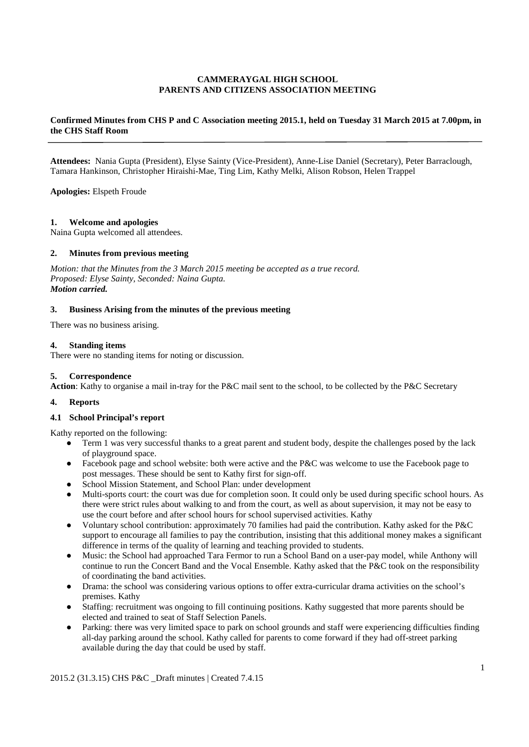## **CAMMERAYGAL HIGH SCHOOL PARENTS AND CITIZENS ASSOCIATION MEETING**

# **Confirmed Minutes from CHS P and C Association meeting 2015.1, held on Tuesday 31 March 2015 at 7.00pm, in the CHS Staff Room**

**Attendees:** Nania Gupta (President), Elyse Sainty (Vice-President), Anne-Lise Daniel (Secretary), Peter Barraclough, Tamara Hankinson, Christopher Hiraishi-Mae, Ting Lim, Kathy Melki, Alison Robson, Helen Trappel

**Apologies:** Elspeth Froude

## **1. Welcome and apologies**

Naina Gupta welcomed all attendees.

## **2. Minutes from previous meeting**

*Motion: that the Minutes from the 3 March 2015 meeting be accepted as a true record. Proposed: Elyse Sainty, Seconded: Naina Gupta. Motion carried.*

#### **3. Business Arising from the minutes of the previous meeting**

There was no business arising.

#### **4. Standing items**

There were no standing items for noting or discussion.

#### **5. Correspondence**

**Action**: Kathy to organise a mail in-tray for the P&C mail sent to the school, to be collected by the P&C Secretary

# **4. Reports**

## **4.1 School Principal's report**

Kathy reported on the following:

- Term 1 was very successful thanks to a great parent and student body, despite the challenges posed by the lack of playground space.
- Facebook page and school website: both were active and the P&C was welcome to use the Facebook page to post messages. These should be sent to Kathy first for sign-off.
- School Mission Statement, and School Plan: under development
- Multi-sports court: the court was due for completion soon. It could only be used during specific school hours. As there were strict rules about walking to and from the court, as well as about supervision, it may not be easy to use the court before and after school hours for school supervised activities. Kathy
- Voluntary school contribution: approximately 70 families had paid the contribution. Kathy asked for the P&C support to encourage all families to pay the contribution, insisting that this additional money makes a significant difference in terms of the quality of learning and teaching provided to students.
- Music: the School had approached Tara Fermor to run a School Band on a user-pay model, while Anthony will continue to run the Concert Band and the Vocal Ensemble. Kathy asked that the P&C took on the responsibility of coordinating the band activities.
- Drama: the school was considering various options to offer extra-curricular drama activities on the school's premises. Kathy
- Staffing: recruitment was ongoing to fill continuing positions. Kathy suggested that more parents should be elected and trained to seat of Staff Selection Panels.
- Parking: there was very limited space to park on school grounds and staff were experiencing difficulties finding all-day parking around the school. Kathy called for parents to come forward if they had off-street parking available during the day that could be used by staff.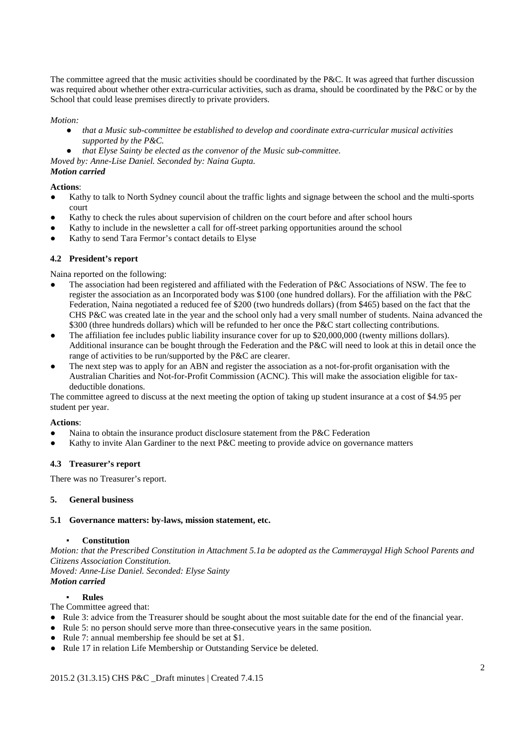The committee agreed that the music activities should be coordinated by the P&C. It was agreed that further discussion was required about whether other extra-curricular activities, such as drama, should be coordinated by the P&C or by the School that could lease premises directly to private providers.

## *Motion:*

- *that a Music sub-committee be established to develop and coordinate extra-curricular musical activities supported by the P&C.*
- *that Elyse Sainty be elected as the convenor of the Music sub-committee.*

*Moved by: Anne-Lise Daniel. Seconded by: Naina Gupta.*

## *Motion carried*

# **Actions**:

- Kathy to talk to North Sydney council about the traffic lights and signage between the school and the multi-sports court
- Kathy to check the rules about supervision of children on the court before and after school hours
- Kathy to include in the newsletter a call for off-street parking opportunities around the school
- Kathy to send Tara Fermor's contact details to Elyse

# **4.2 President's report**

Naina reported on the following:

- The association had been registered and affiliated with the Federation of P&C Associations of NSW. The fee to register the association as an Incorporated body was \$100 (one hundred dollars). For the affiliation with the P&C Federation, Naina negotiated a reduced fee of \$200 (two hundreds dollars) (from \$465) based on the fact that the CHS P&C was created late in the year and the school only had a very small number of students. Naina advanced the \$300 (three hundreds dollars) which will be refunded to her once the P&C start collecting contributions.
- The affiliation fee includes public liability insurance cover for up to \$20,000,000 (twenty millions dollars). Additional insurance can be bought through the Federation and the P&C will need to look at this in detail once the range of activities to be run/supported by the P&C are clearer.
- The next step was to apply for an ABN and register the association as a not-for-profit organisation with the Australian Charities and Not-for-Profit Commission (ACNC). This will make the association eligible for taxdeductible donations.

The committee agreed to discuss at the next meeting the option of taking up student insurance at a cost of \$4.95 per student per year.

## **Actions**:

- Naina to obtain the insurance product disclosure statement from the P&C Federation
- Kathy to invite Alan Gardiner to the next P&C meeting to provide advice on governance matters

# **4.3 Treasurer's report**

There was no Treasurer's report.

## **5. General business**

## **5.1 Governance matters: by-laws, mission statement, etc.**

## **Constitution**

*Motion: that the Prescribed Constitution in Attachment 5.1a be adopted as the Cammeraygal High School Parents and Citizens Association Constitution. Moved: Anne-Lise Daniel. Seconded: Elyse Sainty*

## *Motion carried*

## ▪ **Rules**

The Committee agreed that:

- Rule 3: advice from the Treasurer should be sought about the most suitable date for the end of the financial year.
- Rule 5: no person should serve more than three consecutive years in the same position.
- Rule 7: annual membership fee should be set at \$1.
- Rule 17 in relation Life Membership or Outstanding Service be deleted.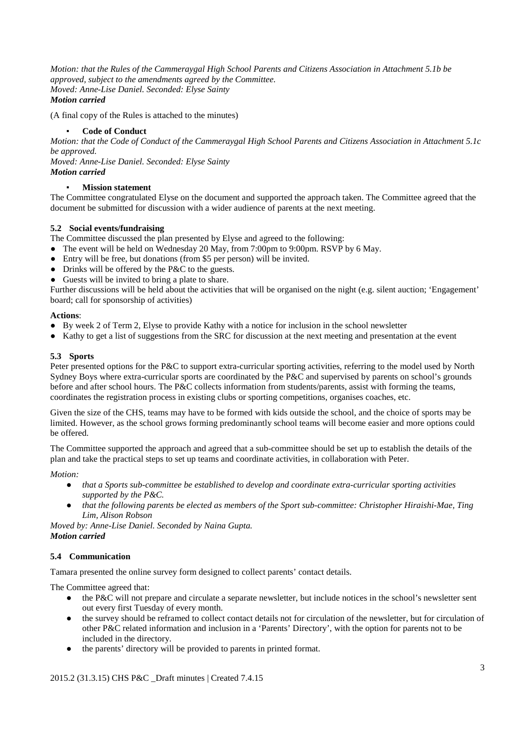*Motion: that the Rules of the Cammeraygal High School Parents and Citizens Association in Attachment 5.1b be approved, subject to the amendments agreed by the Committee. Moved: Anne-Lise Daniel. Seconded: Elyse Sainty Motion carried*

(A final copy of the Rules is attached to the minutes)

## **Code of Conduct**

*Motion: that the Code of Conduct of the Cammeraygal High School Parents and Citizens Association in Attachment 5.1c be approved.* 

*Moved: Anne-Lise Daniel. Seconded: Elyse Sainty Motion carried*

# **Mission statement**

The Committee congratulated Elyse on the document and supported the approach taken. The Committee agreed that the document be submitted for discussion with a wider audience of parents at the next meeting.

# **5.2 Social events/fundraising**

The Committee discussed the plan presented by Elyse and agreed to the following:

- The event will be held on Wednesday 20 May, from 7:00pm to 9:00pm. RSVP by 6 May.
- Entry will be free, but donations (from \$5 per person) will be invited.
- Drinks will be offered by the P&C to the guests.
- Guests will be invited to bring a plate to share.

Further discussions will be held about the activities that will be organised on the night (e.g. silent auction; 'Engagement' board; call for sponsorship of activities)

## **Actions**:

- By week 2 of Term 2, Elyse to provide Kathy with a notice for inclusion in the school newsletter
- Kathy to get a list of suggestions from the SRC for discussion at the next meeting and presentation at the event

## **5.3 Sports**

Peter presented options for the P&C to support extra-curricular sporting activities, referring to the model used by North Sydney Boys where extra-curricular sports are coordinated by the P&C and supervised by parents on school's grounds before and after school hours. The P&C collects information from students/parents, assist with forming the teams, coordinates the registration process in existing clubs or sporting competitions, organises coaches, etc.

Given the size of the CHS, teams may have to be formed with kids outside the school, and the choice of sports may be limited. However, as the school grows forming predominantly school teams will become easier and more options could be offered.

The Committee supported the approach and agreed that a sub-committee should be set up to establish the details of the plan and take the practical steps to set up teams and coordinate activities, in collaboration with Peter.

*Motion:* 

- *that a Sports sub-committee be established to develop and coordinate extra-curricular sporting activities supported by the P&C.*
- *that the following parents be elected as members of the Sport sub-committee: Christopher Hiraishi-Mae, Ting Lim, Alison Robson*

*Moved by: Anne-Lise Daniel. Seconded by Naina Gupta. Motion carried*

## **5.4 Communication**

Tamara presented the online survey form designed to collect parents' contact details.

The Committee agreed that:

- the P&C will not prepare and circulate a separate newsletter, but include notices in the school's newsletter sent out every first Tuesday of every month.
- the survey should be reframed to collect contact details not for circulation of the newsletter, but for circulation of other P&C related information and inclusion in a 'Parents' Directory', with the option for parents not to be included in the directory.
- the parents' directory will be provided to parents in printed format.